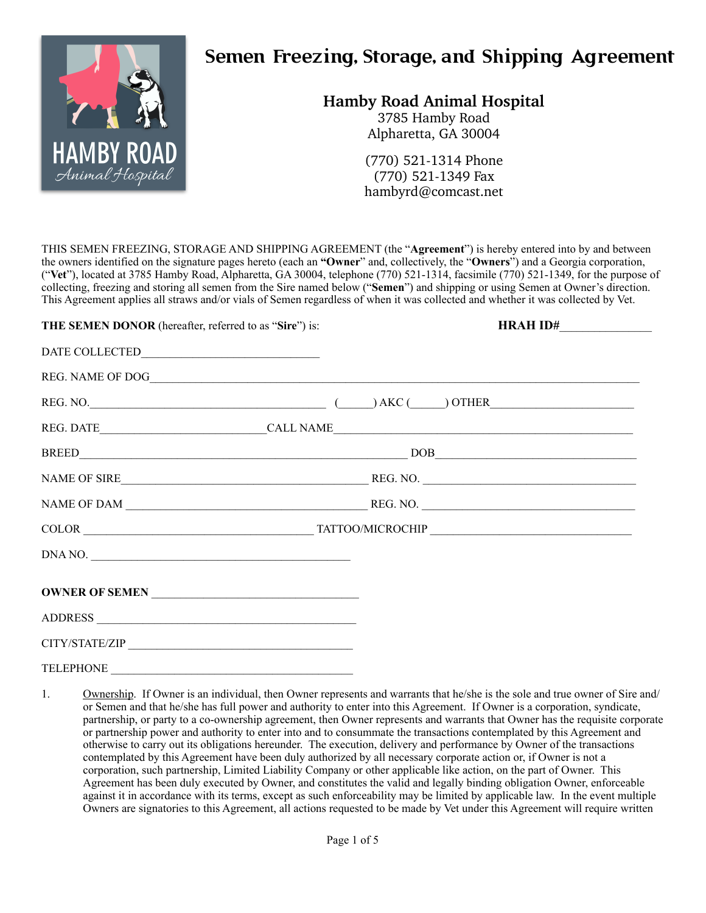

# **Semen Freezing, Storage, and Shipping Agreement**

# **Hamby Road Animal Hospital**

3785 Hamby Road Alpharetta, GA 30004

(770) 521-1314 Phone (770) 521-1349 Fax [hambyrd@comcast.net](mailto:hambyrd@comcast.net)

THIS SEMEN FREEZING, STORAGE AND SHIPPING AGREEMENT (the "**Agreement**") is hereby entered into by and between the owners identified on the signature pages hereto (each an **"Owner**" and, collectively, the "**Owners**") and a Georgia corporation, ("**Vet**"), located at 3785 Hamby Road, Alpharetta, GA 30004, telephone (770) 521-1314, facsimile (770) 521-1349, for the purpose of collecting, freezing and storing all semen from the Sire named below ("**Semen**") and shipping or using Semen at Owner's direction. This Agreement applies all straws and/or vials of Semen regardless of when it was collected and whether it was collected by Vet.

# **THE SEMEN DONOR** (hereafter, referred to as "**Sire**") is: **HRAH ID#**\_\_\_\_\_\_\_\_\_\_\_\_\_\_\_\_

| DNA NO.        |  |  |  |  |
|----------------|--|--|--|--|
|                |  |  |  |  |
|                |  |  |  |  |
| CITY/STATE/ZIP |  |  |  |  |

TELEPHONE

<sup>1.</sup> Ownership. If Owner is an individual, then Owner represents and warrants that he/she is the sole and true owner of Sire and/ or Semen and that he/she has full power and authority to enter into this Agreement. If Owner is a corporation, syndicate, partnership, or party to a co-ownership agreement, then Owner represents and warrants that Owner has the requisite corporate or partnership power and authority to enter into and to consummate the transactions contemplated by this Agreement and otherwise to carry out its obligations hereunder. The execution, delivery and performance by Owner of the transactions contemplated by this Agreement have been duly authorized by all necessary corporate action or, if Owner is not a corporation, such partnership, Limited Liability Company or other applicable like action, on the part of Owner. This Agreement has been duly executed by Owner, and constitutes the valid and legally binding obligation Owner, enforceable against it in accordance with its terms, except as such enforceability may be limited by applicable law. In the event multiple Owners are signatories to this Agreement, all actions requested to be made by Vet under this Agreement will require written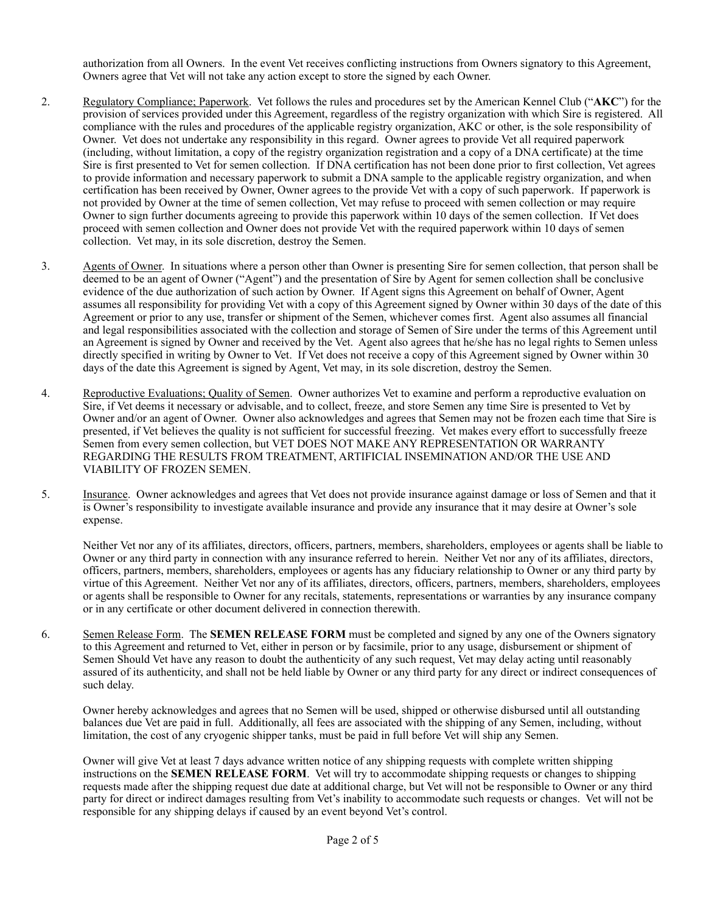authorization from all Owners. In the event Vet receives conflicting instructions from Owners signatory to this Agreement, Owners agree that Vet will not take any action except to store the signed by each Owner.

- 2. Regulatory Compliance; Paperwork. Vet follows the rules and procedures set by the American Kennel Club ("**AKC**") for the provision of services provided under this Agreement, regardless of the registry organization with which Sire is registered. All compliance with the rules and procedures of the applicable registry organization, AKC or other, is the sole responsibility of Owner. Vet does not undertake any responsibility in this regard. Owner agrees to provide Vet all required paperwork (including, without limitation, a copy of the registry organization registration and a copy of a DNA certificate) at the time Sire is first presented to Vet for semen collection. If DNA certification has not been done prior to first collection, Vet agrees to provide information and necessary paperwork to submit a DNA sample to the applicable registry organization, and when certification has been received by Owner, Owner agrees to the provide Vet with a copy of such paperwork. If paperwork is not provided by Owner at the time of semen collection, Vet may refuse to proceed with semen collection or may require Owner to sign further documents agreeing to provide this paperwork within 10 days of the semen collection. If Vet does proceed with semen collection and Owner does not provide Vet with the required paperwork within 10 days of semen collection. Vet may, in its sole discretion, destroy the Semen.
- 3. Agents of Owner. In situations where a person other than Owner is presenting Sire for semen collection, that person shall be deemed to be an agent of Owner ("Agent") and the presentation of Sire by Agent for semen collection shall be conclusive evidence of the due authorization of such action by Owner. If Agent signs this Agreement on behalf of Owner, Agent assumes all responsibility for providing Vet with a copy of this Agreement signed by Owner within 30 days of the date of this Agreement or prior to any use, transfer or shipment of the Semen, whichever comes first. Agent also assumes all financial and legal responsibilities associated with the collection and storage of Semen of Sire under the terms of this Agreement until an Agreement is signed by Owner and received by the Vet. Agent also agrees that he/she has no legal rights to Semen unless directly specified in writing by Owner to Vet. If Vet does not receive a copy of this Agreement signed by Owner within 30 days of the date this Agreement is signed by Agent, Vet may, in its sole discretion, destroy the Semen.
- 4. Reproductive Evaluations; Quality of Semen. Owner authorizes Vet to examine and perform a reproductive evaluation on Sire, if Vet deems it necessary or advisable, and to collect, freeze, and store Semen any time Sire is presented to Vet by Owner and/or an agent of Owner. Owner also acknowledges and agrees that Semen may not be frozen each time that Sire is presented, if Vet believes the quality is not sufficient for successful freezing. Vet makes every effort to successfully freeze Semen from every semen collection, but VET DOES NOT MAKE ANY REPRESENTATION OR WARRANTY REGARDING THE RESULTS FROM TREATMENT, ARTIFICIAL INSEMINATION AND/OR THE USE AND VIABILITY OF FROZEN SEMEN.
- 5. Insurance. Owner acknowledges and agrees that Vet does not provide insurance against damage or loss of Semen and that it is Owner's responsibility to investigate available insurance and provide any insurance that it may desire at Owner's sole expense.

Neither Vet nor any of its affiliates, directors, officers, partners, members, shareholders, employees or agents shall be liable to Owner or any third party in connection with any insurance referred to herein. Neither Vet nor any of its affiliates, directors, officers, partners, members, shareholders, employees or agents has any fiduciary relationship to Owner or any third party by virtue of this Agreement. Neither Vet nor any of its affiliates, directors, officers, partners, members, shareholders, employees or agents shall be responsible to Owner for any recitals, statements, representations or warranties by any insurance company or in any certificate or other document delivered in connection therewith.

6. Semen Release Form. The **SEMEN RELEASE FORM** must be completed and signed by any one of the Owners signatory to this Agreement and returned to Vet, either in person or by facsimile, prior to any usage, disbursement or shipment of Semen Should Vet have any reason to doubt the authenticity of any such request, Vet may delay acting until reasonably assured of its authenticity, and shall not be held liable by Owner or any third party for any direct or indirect consequences of such delay.

Owner hereby acknowledges and agrees that no Semen will be used, shipped or otherwise disbursed until all outstanding balances due Vet are paid in full. Additionally, all fees are associated with the shipping of any Semen, including, without limitation, the cost of any cryogenic shipper tanks, must be paid in full before Vet will ship any Semen.

Owner will give Vet at least 7 days advance written notice of any shipping requests with complete written shipping instructions on the **SEMEN RELEASE FORM**. Vet will try to accommodate shipping requests or changes to shipping requests made after the shipping request due date at additional charge, but Vet will not be responsible to Owner or any third party for direct or indirect damages resulting from Vet's inability to accommodate such requests or changes. Vet will not be responsible for any shipping delays if caused by an event beyond Vet's control.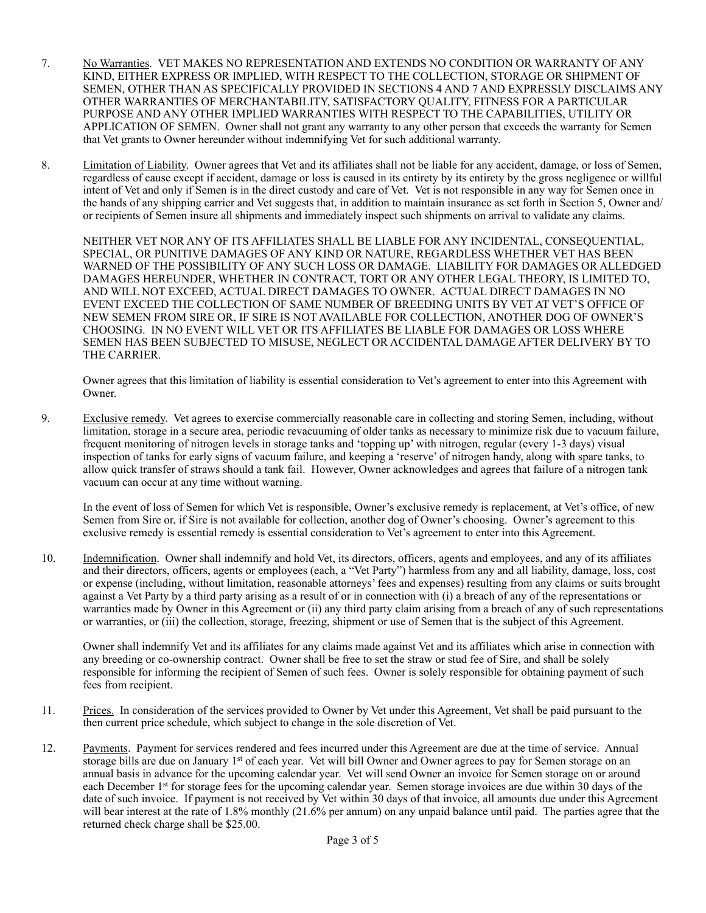- 7. No Warranties. VET MAKES NO REPRESENTATION AND EXTENDS NO CONDITION OR WARRANTY OF ANY KIND, EITHER EXPRESS OR IMPLIED, WITH RESPECT TO THE COLLECTION, STORAGE OR SHIPMENT OF SEMEN, OTHER THAN AS SPECIFICALLY PROVIDED IN SECTIONS 4 AND 7 AND EXPRESSLY DISCLAIMS ANY OTHER WARRANTIES OF MERCHANTABILITY, SATISFACTORY QUALITY, FITNESS FOR A PARTICULAR PURPOSE AND ANY OTHER IMPLIED WARRANTIES WITH RESPECT TO THE CAPABILITIES, UTILITY OR APPLICATION OF SEMEN. Owner shall not grant any warranty to any other person that exceeds the warranty for Semen that Vet grants to Owner hereunder without indemnifying Vet for such additional warranty.
- 8. Limitation of Liability. Owner agrees that Vet and its affiliates shall not be liable for any accident, damage, or loss of Semen, regardless of cause except if accident, damage or loss is caused in its entirety by its entirety by the gross negligence or willful intent of Vet and only if Semen is in the direct custody and care of Vet. Vet is not responsible in any way for Semen once in the hands of any shipping carrier and Vet suggests that, in addition to maintain insurance as set forth in Section 5, Owner and/ or recipients of Semen insure all shipments and immediately inspect such shipments on arrival to validate any claims.

NEITHER VET NOR ANY OF ITS AFFILIATES SHALL BE LIABLE FOR ANY INCIDENTAL, CONSEQUENTIAL, SPECIAL, OR PUNITIVE DAMAGES OF ANY KIND OR NATURE, REGARDLESS WHETHER VET HAS BEEN WARNED OF THE POSSIBILITY OF ANY SUCH LOSS OR DAMAGE. LIABILITY FOR DAMAGES OR ALLEDGED DAMAGES HEREUNDER, WHETHER IN CONTRACT, TORT OR ANY OTHER LEGAL THEORY, IS LIMITED TO, AND WILL NOT EXCEED, ACTUAL DIRECT DAMAGES TO OWNER. ACTUAL DIRECT DAMAGES IN NO EVENT EXCEED THE COLLECTION OF SAME NUMBER OF BREEDING UNITS BY VET AT VET'S OFFICE OF NEW SEMEN FROM SIRE OR, IF SIRE IS NOT AVAILABLE FOR COLLECTION, ANOTHER DOG OF OWNER'S CHOOSING. IN NO EVENT WILL VET OR ITS AFFILIATES BE LIABLE FOR DAMAGES OR LOSS WHERE SEMEN HAS BEEN SUBJECTED TO MISUSE, NEGLECT OR ACCIDENTAL DAMAGE AFTER DELIVERY BY TO THE CARRIER.

Owner agrees that this limitation of liability is essential consideration to Vet's agreement to enter into this Agreement with Owner.

9. Exclusive remedy. Vet agrees to exercise commercially reasonable care in collecting and storing Semen, including, without limitation, storage in a secure area, periodic revacuuming of older tanks as necessary to minimize risk due to vacuum failure, frequent monitoring of nitrogen levels in storage tanks and 'topping up' with nitrogen, regular (every 1-3 days) visual inspection of tanks for early signs of vacuum failure, and keeping a 'reserve' of nitrogen handy, along with spare tanks, to allow quick transfer of straws should a tank fail. However, Owner acknowledges and agrees that failure of a nitrogen tank vacuum can occur at any time without warning.

In the event of loss of Semen for which Vet is responsible, Owner's exclusive remedy is replacement, at Vet's office, of new Semen from Sire or, if Sire is not available for collection, another dog of Owner's choosing. Owner's agreement to this exclusive remedy is essential remedy is essential consideration to Vet's agreement to enter into this Agreement.

10. Indemnification. Owner shall indemnify and hold Vet, its directors, officers, agents and employees, and any of its affiliates and their directors, officers, agents or employees (each, a "Vet Party") harmless from any and all liability, damage, loss, cost or expense (including, without limitation, reasonable attorneys' fees and expenses) resulting from any claims or suits brought against a Vet Party by a third party arising as a result of or in connection with (i) a breach of any of the representations or warranties made by Owner in this Agreement or (ii) any third party claim arising from a breach of any of such representations or warranties, or (iii) the collection, storage, freezing, shipment or use of Semen that is the subject of this Agreement.

Owner shall indemnify Vet and its affiliates for any claims made against Vet and its affiliates which arise in connection with any breeding or co-ownership contract. Owner shall be free to set the straw or stud fee of Sire, and shall be solely responsible for informing the recipient of Semen of such fees. Owner is solely responsible for obtaining payment of such fees from recipient.

- 11. Prices. In consideration of the services provided to Owner by Vet under this Agreement, Vet shall be paid pursuant to the then current price schedule, which subject to change in the sole discretion of Vet.
- 12. Payments. Payment for services rendered and fees incurred under this Agreement are due at the time of service. Annual storage bills are due on January 1<sup>st</sup> of each year. Vet will bill Owner and Owner agrees to pay for Semen storage on an annual basis in advance for the upcoming calendar year. Vet will send Owner an invoice for Semen storage on or around each December 1st for storage fees for the upcoming calendar year. Semen storage invoices are due within 30 days of the date of such invoice. If payment is not received by Vet within 30 days of that invoice, all amounts due under this Agreement will bear interest at the rate of 1.8% monthly (21.6% per annum) on any unpaid balance until paid. The parties agree that the returned check charge shall be \$25.00.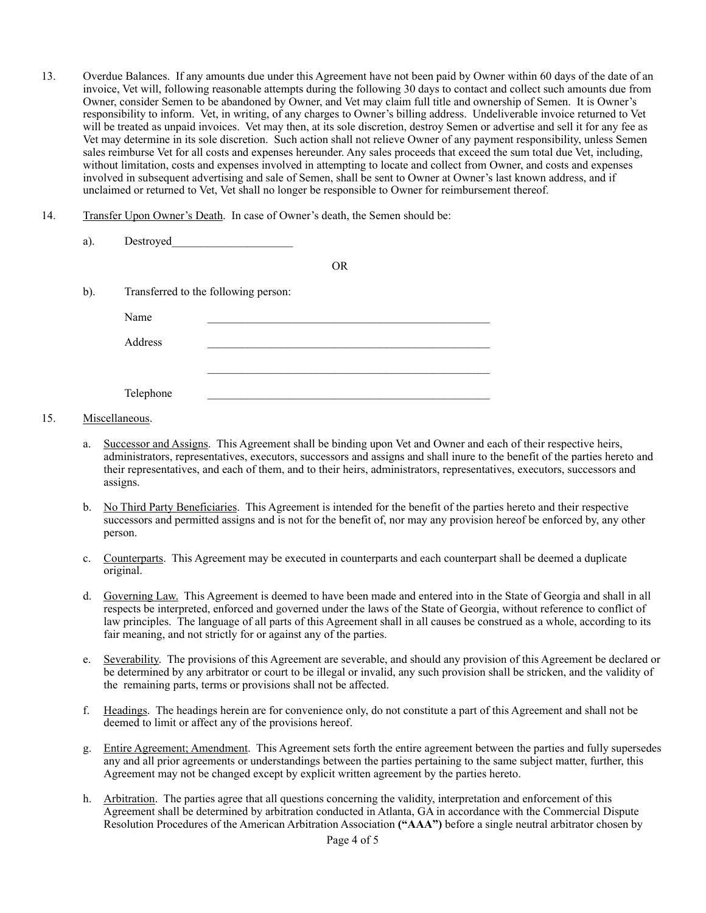- 13. Overdue Balances. If any amounts due under this Agreement have not been paid by Owner within 60 days of the date of an invoice, Vet will, following reasonable attempts during the following 30 days to contact and collect such amounts due from Owner, consider Semen to be abandoned by Owner, and Vet may claim full title and ownership of Semen. It is Owner's responsibility to inform. Vet, in writing, of any charges to Owner's billing address. Undeliverable invoice returned to Vet will be treated as unpaid invoices. Vet may then, at its sole discretion, destroy Semen or advertise and sell it for any fee as Vet may determine in its sole discretion. Such action shall not relieve Owner of any payment responsibility, unless Semen sales reimburse Vet for all costs and expenses hereunder. Any sales proceeds that exceed the sum total due Vet, including, without limitation, costs and expenses involved in attempting to locate and collect from Owner, and costs and expenses involved in subsequent advertising and sale of Semen, shall be sent to Owner at Owner's last known address, and if unclaimed or returned to Vet, Vet shall no longer be responsible to Owner for reimbursement thereof.
- 14. Transfer Upon Owner's Death. In case of Owner's death, the Semen should be:

| a).    | Destroyed |                                      |           |  |
|--------|-----------|--------------------------------------|-----------|--|
|        |           |                                      | <b>OR</b> |  |
| $b)$ . |           | Transferred to the following person: |           |  |
|        | Name      |                                      |           |  |
|        | Address   |                                      |           |  |
|        |           |                                      |           |  |
|        | Telephone |                                      |           |  |

# 15. Miscellaneous.

- Successor and Assigns. This Agreement shall be binding upon Vet and Owner and each of their respective heirs, administrators, representatives, executors, successors and assigns and shall inure to the benefit of the parties hereto and their representatives, and each of them, and to their heirs, administrators, representatives, executors, successors and assigns.
- b. No Third Party Beneficiaries. This Agreement is intended for the benefit of the parties hereto and their respective successors and permitted assigns and is not for the benefit of, nor may any provision hereof be enforced by, any other person.
- c. Counterparts. This Agreement may be executed in counterparts and each counterpart shall be deemed a duplicate original.
- d. Governing Law. This Agreement is deemed to have been made and entered into in the State of Georgia and shall in all respects be interpreted, enforced and governed under the laws of the State of Georgia, without reference to conflict of law principles. The language of all parts of this Agreement shall in all causes be construed as a whole, according to its fair meaning, and not strictly for or against any of the parties.
- e. Severability. The provisions of this Agreement are severable, and should any provision of this Agreement be declared or be determined by any arbitrator or court to be illegal or invalid, any such provision shall be stricken, and the validity of the remaining parts, terms or provisions shall not be affected.
- f. Headings. The headings herein are for convenience only, do not constitute a part of this Agreement and shall not be deemed to limit or affect any of the provisions hereof.
- g. Entire Agreement; Amendment. This Agreement sets forth the entire agreement between the parties and fully supersedes any and all prior agreements or understandings between the parties pertaining to the same subject matter, further, this Agreement may not be changed except by explicit written agreement by the parties hereto.
- h. Arbitration. The parties agree that all questions concerning the validity, interpretation and enforcement of this Agreement shall be determined by arbitration conducted in Atlanta, GA in accordance with the Commercial Dispute Resolution Procedures of the American Arbitration Association **("AAA")** before a single neutral arbitrator chosen by